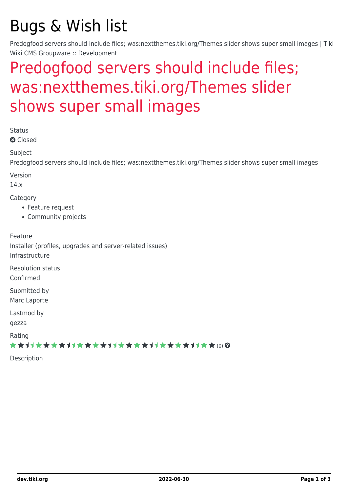# Bugs & Wish list

Predogfood servers should include files; was:nextthemes.tiki.org/Themes slider shows super small images | Tiki Wiki CMS Groupware :: Development

# [Predogfood servers should include files;](https://dev.tiki.org/item4903-Predogfood-servers-should-include-files-was-nextthemes-tiki-org-Themes-slider-shows-super-small-images) [was:nextthemes.tiki.org/Themes slider](https://dev.tiki.org/item4903-Predogfood-servers-should-include-files-was-nextthemes-tiki-org-Themes-slider-shows-super-small-images) [shows super small images](https://dev.tiki.org/item4903-Predogfood-servers-should-include-files-was-nextthemes-tiki-org-Themes-slider-shows-super-small-images)

Status

**Q** Closed

**Subject** 

Predogfood servers should include files; was:nextthemes.tiki.org/Themes slider shows super small images

Version

14.x

Category

- Feature request
- Community projects

Feature

Installer (profiles, upgrades and server-related issues) Infrastructure

Resolution status

Confirmed

Submitted by Marc Laporte

Lastmod by

gezza

Rating

★★11★★★★11★★★★11★★★★11★★★★11★★ (0) @

Description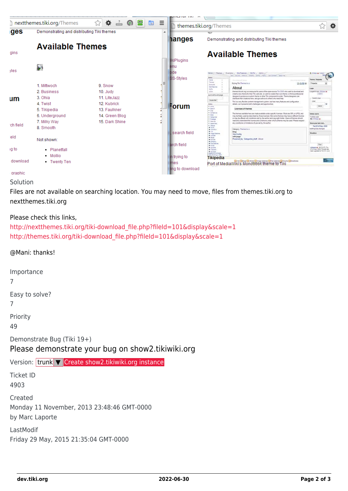

### Solution

Files are not available on searching location. You may need to move, files from themes.tiki.org to nextthemes.tiki.org

#### Please check this links,

```
http://nextthemes.tiki.org/tiki-download_file.php?fileId=101&display&scale=1
http://themes.tiki.org/tiki-download_file.php?fileId=101&display&scale=1
```
#### @Mani: thanks!

Importance

7

Easy to solve?

7

Priority

49

Demonstrate Bug (Tiki 19+)

## Please demonstrate your bug on show2.tikiwiki.org

### Version: trunk ▼ [Create show2.tikiwiki.org instance](#page--1-0)

Ticket ID 4903

Created Monday 11 November, 2013 23:48:46 GMT-0000 by Marc Laporte

LastModif Friday 29 May, 2015 21:35:04 GMT-0000